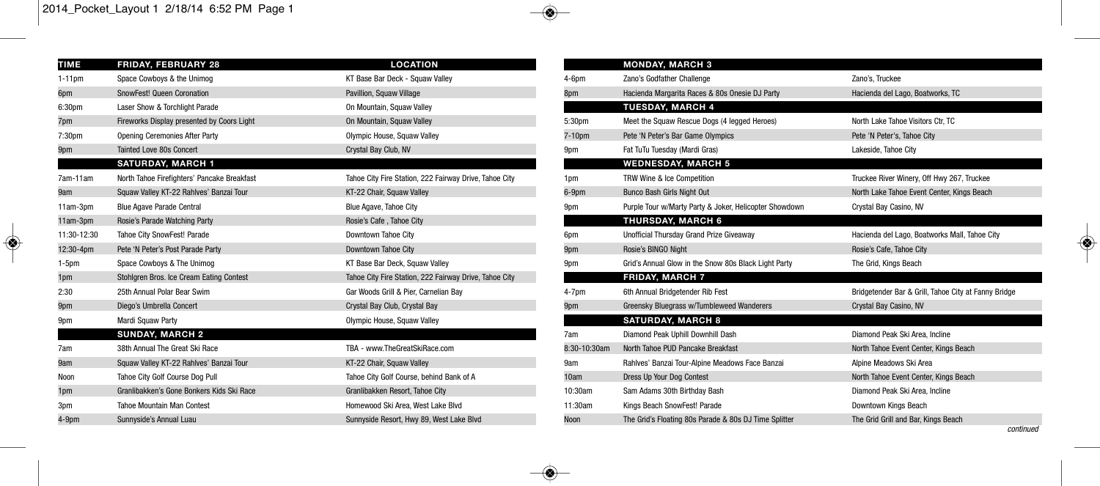◈

| <b>TIME</b>        | <b>FRIDAY, FEBRUARY 28</b>                  | <b>LOCATION</b>                                        |
|--------------------|---------------------------------------------|--------------------------------------------------------|
| $1-11$ pm          | Space Cowboys & the Unimog                  | KT Base Bar Deck - Squaw Valley                        |
| 6pm                | SnowFest! Queen Coronation                  | Pavillion, Squaw Village                               |
| 6:30 <sub>pm</sub> | Laser Show & Torchlight Parade              | On Mountain, Squaw Valley                              |
| 7pm                | Fireworks Display presented by Coors Light  | On Mountain, Squaw Valley                              |
| 7:30 <sub>pm</sub> | <b>Opening Ceremonies After Party</b>       | Olympic House, Squaw Valley                            |
| 9pm                | <b>Tainted Love 80s Concert</b>             | Crystal Bay Club, NV                                   |
|                    | <b>SATURDAY, MARCH 1</b>                    |                                                        |
| 7am-11am           | North Tahoe Firefighters' Pancake Breakfast | Tahoe City Fire Station, 222 Fairway Drive, Tahoe City |
| 9am                | Squaw Valley KT-22 Rahlves' Banzai Tour     | KT-22 Chair, Squaw Valley                              |
| $11am-3dm$         | <b>Blue Agave Parade Central</b>            | Blue Agave, Tahoe City                                 |
| 11am-3pm           | Rosie's Parade Watching Party               | Rosie's Cafe, Tahoe City                               |
| 11:30-12:30        | <b>Tahoe City SnowFest! Parade</b>          | Downtown Tahoe City                                    |
| 12:30-4pm          | Pete 'N Peter's Post Parade Party           | Downtown Tahoe City                                    |
| $1-5pm$            | Space Cowboys & The Unimog                  | KT Base Bar Deck, Squaw Valley                         |
| 1pm                | Stohlgren Bros. Ice Cream Eating Contest    | Tahoe City Fire Station, 222 Fairway Drive, Tahoe City |
| 2:30               | 25th Annual Polar Bear Swim                 | Gar Woods Grill & Pier, Carnelian Bay                  |
| 9pm                | Diego's Umbrella Concert                    | Crystal Bay Club, Crystal Bay                          |
| 9pm                | Mardi Squaw Party                           | Olympic House, Squaw Valley                            |
|                    | <b>SUNDAY, MARCH 2</b>                      |                                                        |
| 7am                | 38th Annual The Great Ski Race              | TBA - www.TheGreatSkiRace.com                          |
| 9am                | Squaw Valley KT-22 Rahlves' Banzai Tour     | KT-22 Chair, Squaw Valley                              |
| Noon               | Tahoe City Golf Course Dog Pull             | Tahoe City Golf Course, behind Bank of A               |
| 1pm                | Granlibakken's Gone Bonkers Kids Ski Race   | Granlibakken Resort, Tahoe City                        |
| 3pm                | Tahoe Mountain Man Contest                  | Homewood Ski Area, West Lake Blvd                      |
| $4-9DP$            | Sunnyside's Annual Luau                     | Sunnyside Resort, Hwy 89, West Lake Blvd               |

|              | <b>MONDAY, MARCH 3</b>                                 |                                                      |
|--------------|--------------------------------------------------------|------------------------------------------------------|
| $4-6$ pm     | Zano's Godfather Challenge                             | Zano's, Truckee                                      |
| 8pm          | Hacienda Margarita Races & 80s Onesie DJ Party         | Hacienda del Lago, Boatworks, TC                     |
|              | <b>TUESDAY, MARCH 4</b>                                |                                                      |
| 5:30pm       | Meet the Squaw Rescue Dogs (4 legged Heroes)           | North Lake Tahoe Visitors Ctr. TC                    |
| 7-10pm       | Pete 'N Peter's Bar Game Olympics                      | Pete 'N Peter's, Tahoe City                          |
| 9pm          | Fat TuTu Tuesday (Mardi Gras)                          | Lakeside, Tahoe City                                 |
|              | <b>WEDNESDAY, MARCH 5</b>                              |                                                      |
| 1pm          | TRW Wine & Ice Competition                             | Truckee River Winery, Off Hwy 267, Truckee           |
| 6-9pm        | Bunco Bash Girls Night Out                             | North Lake Tahoe Event Center, Kings Beach           |
| 9pm          | Purple Tour w/Marty Party & Joker, Helicopter Showdown | Crystal Bay Casino, NV                               |
|              | <b>THURSDAY, MARCH 6</b>                               |                                                      |
| 6pm          | Unofficial Thursday Grand Prize Giveaway               | Hacienda del Lago, Boatworks Mall, Tahoe City        |
| 9pm          | Rosie's BINGO Night                                    | Rosie's Cafe, Tahoe City                             |
| 9pm          | Grid's Annual Glow in the Snow 80s Black Light Party   | The Grid, Kings Beach                                |
|              | <b>FRIDAY, MARCH 7</b>                                 |                                                      |
| $4-7pm$      | 6th Annual Bridgetender Rib Fest                       | Bridgetender Bar & Grill, Tahoe City at Fanny Bridge |
| 9pm          | Greensky Bluegrass w/Tumbleweed Wanderers              | Crystal Bay Casino, NV                               |
|              | <b>SATURDAY, MARCH 8</b>                               |                                                      |
| 7am          | Diamond Peak Uphill Downhill Dash                      | Diamond Peak Ski Area, Incline                       |
| 8:30-10:30am | North Tahoe PUD Pancake Breakfast                      | North Tahoe Event Center, Kings Beach                |
| 9am          | Rahlves' Banzai Tour-Alpine Meadows Face Banzai        | Alpine Meadows Ski Area                              |
| 10am         | Dress Up Your Dog Contest                              | North Tahoe Event Center, Kings Beach                |
| 10:30am      | Sam Adams 30th Birthday Bash                           | Diamond Peak Ski Area, Incline                       |
| 11:30am      | Kings Beach SnowFest! Parade                           | Downtown Kings Beach                                 |
| Noon         | The Grid's Floating 80s Parade & 80s DJ Time Splitter  | The Grid Grill and Bar, Kings Beach                  |
|              |                                                        | continued                                            |

۵

◈

◈